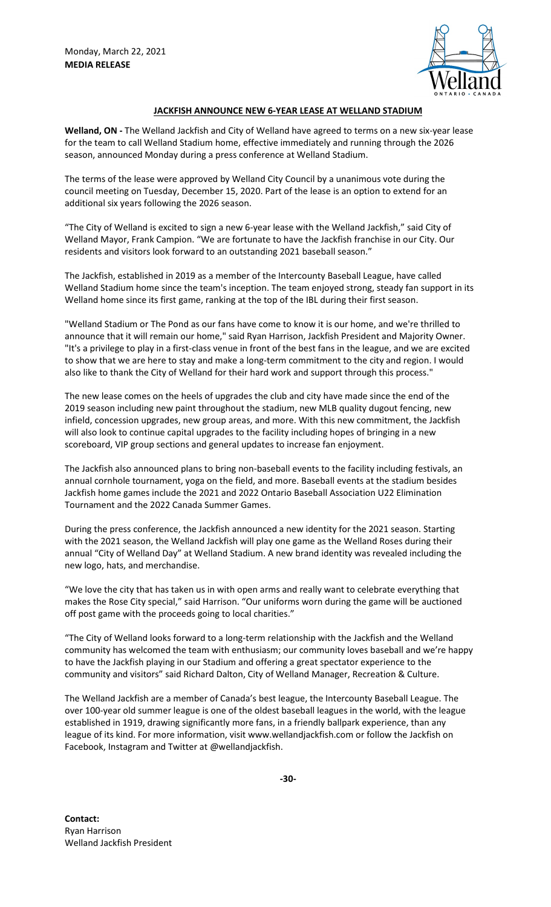

## **JACKFISH ANNOUNCE NEW 6-YEAR LEASE AT WELLAND STADIUM**

**Welland, ON -** The Welland Jackfish and City of Welland have agreed to terms on a new six-year lease for the team to call Welland Stadium home, effective immediately and running through the 2026 season, announced Monday during a press conference at Welland Stadium.

The terms of the lease were approved by Welland City Council by a unanimous vote during the council meeting on Tuesday, December 15, 2020. Part of the lease is an option to extend for an additional six years following the 2026 season.

"The City of Welland is excited to sign a new 6-year lease with the Welland Jackfish," said City of Welland Mayor, Frank Campion. "We are fortunate to have the Jackfish franchise in our City. Our residents and visitors look forward to an outstanding 2021 baseball season."

The Jackfish, established in 2019 as a member of the Intercounty Baseball League, have called Welland Stadium home since the team's inception. The team enjoyed strong, steady fan support in its Welland home since its first game, ranking at the top of the IBL during their first season.

"Welland Stadium or The Pond as our fans have come to know it is our home, and we're thrilled to announce that it will remain our home," said Ryan Harrison, Jackfish President and Majority Owner. "It's a privilege to play in a first-class venue in front of the best fans in the league, and we are excited to show that we are here to stay and make a long-term commitment to the city and region. I would also like to thank the City of Welland for their hard work and support through this process."

The new lease comes on the heels of upgrades the club and city have made since the end of the 2019 season including new paint throughout the stadium, new MLB quality dugout fencing, new infield, concession upgrades, new group areas, and more. With this new commitment, the Jackfish will also look to continue capital upgrades to the facility including hopes of bringing in a new scoreboard, VIP group sections and general updates to increase fan enjoyment.

The Jackfish also announced plans to bring non-baseball events to the facility including festivals, an annual cornhole tournament, yoga on the field, and more. Baseball events at the stadium besides Jackfish home games include the 2021 and 2022 Ontario Baseball Association U22 Elimination Tournament and the 2022 Canada Summer Games.

During the press conference, the Jackfish announced a new identity for the 2021 season. Starting with the 2021 season, the Welland Jackfish will play one game as the Welland Roses during their annual "City of Welland Day" at Welland Stadium. A new brand identity was revealed including the new logo, hats, and merchandise.

"We love the city that has taken us in with open arms and really want to celebrate everything that makes the Rose City special," said Harrison. "Our uniforms worn during the game will be auctioned off post game with the proceeds going to local charities."

"The City of Welland looks forward to a long-term relationship with the Jackfish and the Welland community has welcomed the team with enthusiasm; our community loves baseball and we're happy to have the Jackfish playing in our Stadium and offering a great spectator experience to the community and visitors" said Richard Dalton, City of Welland Manager, Recreation & Culture.

The Welland Jackfish are a member of Canada's best league, the Intercounty Baseball League. The over 100-year old summer league is one of the oldest baseball leagues in the world, with the league established in 1919, drawing significantly more fans, in a friendly ballpark experience, than any league of its kind. For more information, visit www.wellandjackfish.com or follow the Jackfish on Facebook, Instagram and Twitter at @wellandjackfish.

**Contact:** Ryan Harrison Welland Jackfish President